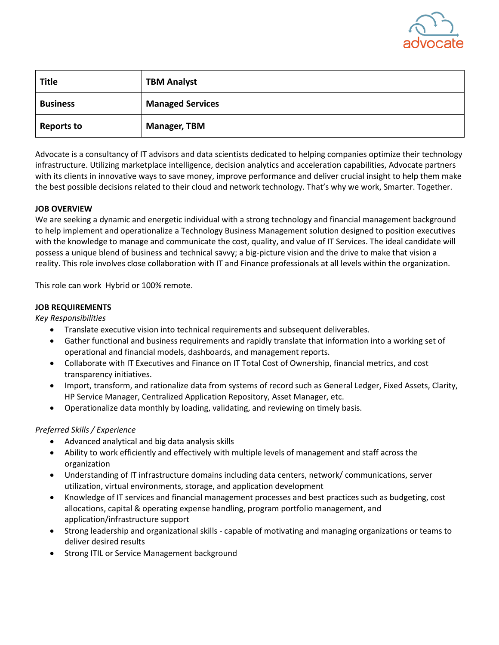

| <b>Title</b>      | <b>TBM Analyst</b>      |
|-------------------|-------------------------|
| <b>Business</b>   | <b>Managed Services</b> |
| <b>Reports to</b> | <b>Manager, TBM</b>     |

Advocate is a consultancy of IT advisors and data scientists dedicated to helping companies optimize their technology infrastructure. Utilizing marketplace intelligence, decision analytics and acceleration capabilities, Advocate partners with its clients in innovative ways to save money, improve performance and deliver crucial insight to help them make the best possible decisions related to their cloud and network technology. That's why we work, Smarter. Together.

# **JOB OVERVIEW**

We are seeking a dynamic and energetic individual with a strong technology and financial management background to help implement and operationalize a Technology Business Management solution designed to position executives with the knowledge to manage and communicate the cost, quality, and value of IT Services. The ideal candidate will possess a unique blend of business and technical savvy; a big-picture vision and the drive to make that vision a reality. This role involves close collaboration with IT and Finance professionals at all levels within the organization.

This role can work Hybrid or 100% remote.

## **JOB REQUIREMENTS**

*Key Responsibilities* 

- Translate executive vision into technical requirements and subsequent deliverables.
- Gather functional and business requirements and rapidly translate that information into a working set of operational and financial models, dashboards, and management reports.
- Collaborate with IT Executives and Finance on IT Total Cost of Ownership, financial metrics, and cost transparency initiatives.
- Import, transform, and rationalize data from systems of record such as General Ledger, Fixed Assets, Clarity, HP Service Manager, Centralized Application Repository, Asset Manager, etc.
- Operationalize data monthly by loading, validating, and reviewing on timely basis.

# *Preferred Skills / Experience*

- Advanced analytical and big data analysis skills
- Ability to work efficiently and effectively with multiple levels of management and staff across the organization
- Understanding of IT infrastructure domains including data centers, network/ communications, server utilization, virtual environments, storage, and application development
- Knowledge of IT services and financial management processes and best practices such as budgeting, cost allocations, capital & operating expense handling, program portfolio management, and application/infrastructure support
- Strong leadership and organizational skills capable of motivating and managing organizations or teams to deliver desired results
- Strong ITIL or Service Management background